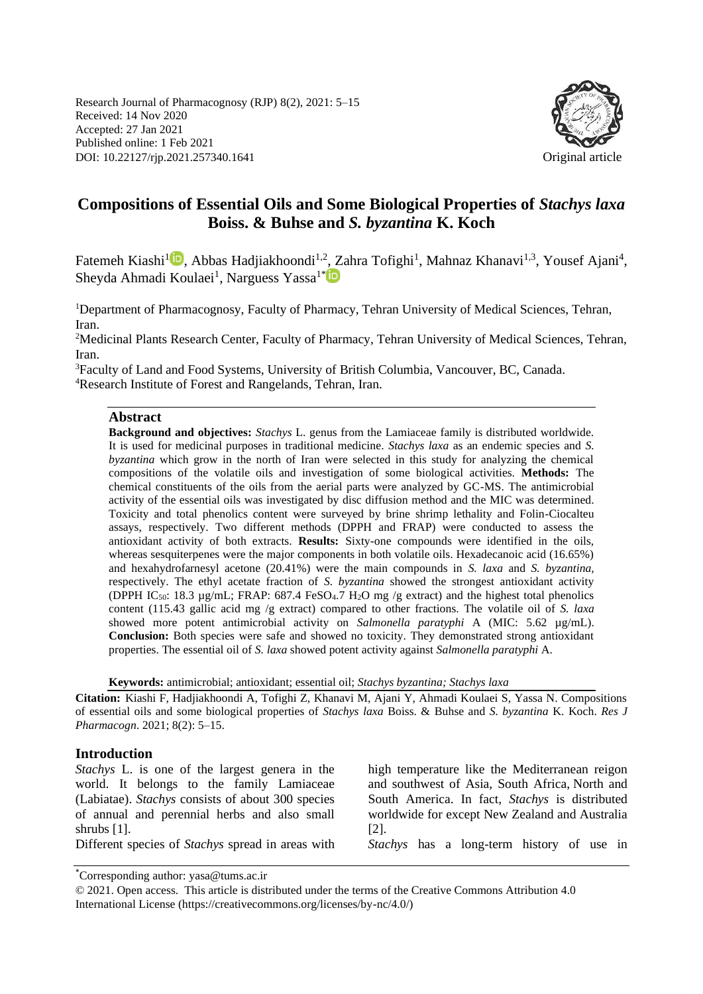Research Journal of Pharmacognosy (RJP) 8(2), 2021: 5–15 Received: 14 Nov 2020 Accepted: 27 Jan 2021 Published online: 1 Feb 2021 DOI: 10.22127/rjp.2021.257340.1641 Original article



# **Compositions of Essential Oils and Some Biological Properties of** *Stachys laxa*  **Boiss. & Buhse and** *S. byzantina* **K. Koch**

Fatemeh Kiashi<sup>1</sup>D[,](https://orcid.org/0000-0002-5363-3560) Abbas Hadjiakhoondi<sup>1,2</sup>, Zahra Tofighi<sup>1</sup>, Mahnaz Khanavi<sup>1,3</sup>, Yousef Ajani<sup>4</sup>, Sheyda Ahmadi Koulaei<sup>1</sup>, Narguess Yassa<sup>1[\\*](https://orcid.org/0000-0002-2455-0053)</sup>

<sup>1</sup>Department of Pharmacognosy, Faculty of Pharmacy, Tehran University of Medical Sciences, Tehran, Iran.

<sup>2</sup>Medicinal Plants Research Center, Faculty of Pharmacy, Tehran University of Medical Sciences, Tehran, Iran.

<sup>3</sup>Faculty of Land and Food Systems, University of British Columbia, Vancouver, BC, Canada. <sup>4</sup>Research Institute of Forest and Rangelands, Tehran, Iran.

#### **Abstract**

**Background and objectives:** *Stachys* L. genus from the Lamiaceae family is distributed worldwide. It is used for medicinal purposes in traditional medicine. *Stachys laxa* as an endemic species and *S. byzantina* which grow in the north of Iran were selected in this study for analyzing the chemical compositions of the volatile oils and investigation of some biological activities. **Methods:** The chemical constituents of the oils from the aerial parts were analyzed by GC-MS. The antimicrobial activity of the essential oils was investigated by disc diffusion method and the MIC was determined. Toxicity and total phenolics content were surveyed by brine shrimp lethality and Folin-Ciocalteu assays, respectively. Two different methods (DPPH and FRAP) were conducted to assess the antioxidant activity of both extracts. **Results:** Sixty-one compounds were identified in the oils, whereas sesquiterpenes were the major components in both volatile oils. Hexadecanoic acid (16.65%) and hexahydrofarnesyl acetone (20.41%) were the main compounds in *S. laxa* and *S. byzantina,* respectively. The ethyl acetate fraction of *S. byzantina* showed the strongest antioxidant activity (DPPH IC<sub>50</sub>: 18.3 µg/mL; FRAP: 687.4 FeSO<sub>4</sub>.7 H<sub>2</sub>O mg /g extract) and the highest total phenolics content (115.43 gallic acid mg /g extract) compared to other fractions. The volatile oil of *S. laxa* showed more potent antimicrobial activity on *Salmonella paratyphi* A (MIC: 5.62 µg/mL). **Conclusion:** Both species were safe and showed no toxicity. They demonstrated strong antioxidant properties. The essential oil of *S. laxa* showed potent activity against *Salmonella paratyphi* A.

**Keywords:** antimicrobial; antioxidant; essential oil; *Stachys byzantina; Stachys laxa*

**Citation:** Kiashi F, Hadjiakhoondi A, Tofighi Z, Khanavi M, Ajani Y, Ahmadi Koulaei S, Yassa N. Compositions of essential oils and some biological properties of *Stachys laxa* Boiss. & Buhse and *S. byzantina* K. Koch. *Res J Pharmacogn*. 2021; 8(2): 5–15.

#### **Introduction**

*Stachys* L. is one of the largest genera in the world. It belongs to the family Lamiaceae (Labiatae). *Stachys* consists of about 300 species of annual and perennial herbs and also small shrubs [1]. Different species of *Stachys* spread in areas with high temperature like the Mediterranean reigon and southwest of Asia, South Africa, North and South America. In fact, *Stachys* is distributed worldwide for except New Zealand and Australia [2]. *Stachys* has a long-term history of use in

\*Corresponding author: yasa@tums.ac.ir

<sup>© 2021.</sup> Open access. This article is distributed under the terms of the Creative Commons Attribution 4.0 International License (https://creativecommons.org/licenses/by-nc/4.0/)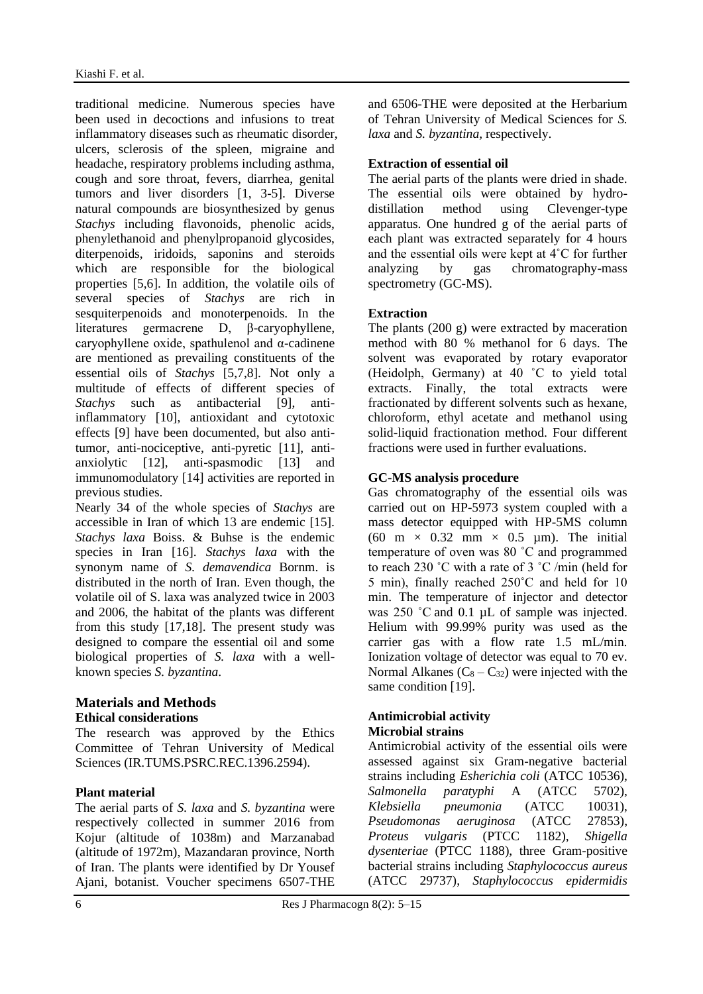traditional medicine. Numerous species have been used in decoctions and infusions to treat inflammatory diseases such as rheumatic disorder, ulcers, sclerosis of the spleen, migraine and headache, respiratory problems including asthma, cough and sore throat, fevers, diarrhea, genital tumors and liver disorders [1, 3-5]. Diverse natural compounds are biosynthesized by genus *Stachys* including flavonoids, phenolic acids, phenylethanoid and phenylpropanoid glycosides, diterpenoids, iridoids, saponins and steroids which are responsible for the biological properties [5,6]. In addition, the volatile oils of several species of *Stachys* are rich in sesquiterpenoids and monoterpenoids. In the literatures germacrene D, β-caryophyllene, caryophyllene oxide, spathulenol and α-cadinene are mentioned as prevailing constituents of the essential oils of *Stachys* [5,7,8]. Not only a multitude of effects of different species of *Stachys* such as antibacterial [9], antiinflammatory [10], antioxidant and cytotoxic effects [9] have been documented, but also antitumor, anti-nociceptive, anti-pyretic [11], antianxiolytic [12], anti-spasmodic [13] and immunomodulatory [14] activities are reported in previous studies.

Nearly 34 of the whole species of *Stachys* are accessible in Iran of which 13 are endemic [15]. *Stachys laxa* Boiss. & Buhse is the endemic species in Iran [16]. *Stachys laxa* with the synonym name of *S. demavendica* Bornm. is distributed in the north of Iran. Even though, the volatile oil of S. laxa was analyzed twice in 2003 and 2006, the habitat of the plants was different from this study [17,18]. The present study was designed to compare the essential oil and some biological properties of *S. laxa* with a wellknown species *S. byzantina*.

## **Materials and Methods Ethical considerations**

The research was approved by the Ethics Committee of Tehran University of Medical Sciences (IR.TUMS.PSRC.REC.1396.2594).

# **Plant material**

The aerial parts of *S. laxa* and *S. byzantina* were respectively collected in summer 2016 from Kojur (altitude of 1038m) and Marzanabad (altitude of 1972m), Mazandaran province, North of Iran. The plants were identified by Dr Yousef Ajani, botanist. Voucher specimens 6507-THE and 6506-THE were deposited at the Herbarium of Tehran University of Medical Sciences for *S. laxa* and *S. byzantina,* respectively.

# **Extraction of essential oil**

The aerial parts of the plants were dried in shade. The essential oils were obtained by hydrodistillation method using Clevenger-type apparatus. One hundred g of the aerial parts of each plant was extracted separately for 4 hours and the essential oils were kept at 4˚C for further analyzing by gas chromatography-mass spectrometry (GC-MS).

## **Extraction**

The plants (200 g) were extracted by maceration method with 80 % methanol for 6 days. The solvent was evaporated by rotary evaporator (Heidolph, Germany) at 40 ˚C to yield total extracts. Finally, the total extracts were fractionated by different solvents such as hexane, chloroform, ethyl acetate and methanol using solid-liquid fractionation method. Four different fractions were used in further evaluations.

# **GC-MS analysis procedure**

Gas chromatography of the essential oils was carried out on HP-5973 system coupled with a mass detector equipped with HP-5MS column (60 m  $\times$  0.32 mm  $\times$  0.5 µm). The initial temperature of oven was 80 ˚C and programmed to reach 230 ˚C with a rate of 3 ˚C /min (held for 5 min), finally reached 250˚C and held for 10 min. The temperature of injector and detector was 250 °C and 0.1 µL of sample was injected. Helium with 99.99% purity was used as the carrier gas with a flow rate 1.5 mL/min. Ionization voltage of detector was equal to 70 ev. Normal Alkanes  $(C_8 - C_{32})$  were injected with the same condition [19].

#### **Antimicrobial activity Microbial strains**

Antimicrobial activity of the essential oils were assessed against six Gram-negative bacterial strains including *Esherichia coli* (ATCC 10536), *Salmonella paratyphi* A (ATCC 5702), *Klebsiella pneumonia* (ATCC 10031), *Pseudomonas aeruginosa* (ATCC 27853), *Proteus vulgaris* (PTCC 1182), *Shigella dysenteriae* (PTCC 1188), three Gram-positive bacterial strains including *Staphylococcus aureus* (ATCC 29737), *Staphylococcus epidermidis*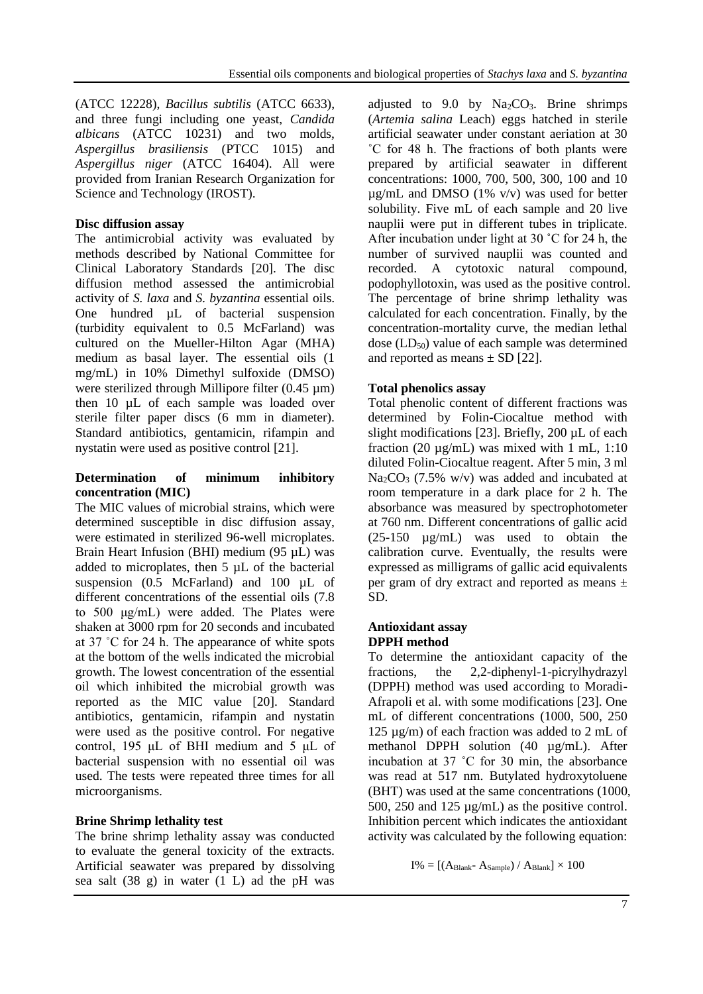(ATCC 12228), *Bacillus subtilis* (ATCC 6633), and three fungi including one yeast, *Candida albicans* (ATCC 10231) and two molds, *Aspergillus brasiliensis* (PTCC 1015) and *Aspergillus niger* (ATCC 16404). All were provided from Iranian Research Organization for Science and Technology (IROST).

### **Disc diffusion assay**

The antimicrobial activity was evaluated by methods described by National Committee for Clinical Laboratory Standards [20]. The disc diffusion method assessed the antimicrobial activity of *S. laxa* and *S. byzantina* essential oils. One hundred µL of bacterial suspension (turbidity equivalent to 0.5 McFarland) was cultured on the Mueller-Hilton Agar (MHA) medium as basal layer. The essential oils (1 mg/mL) in 10% Dimethyl sulfoxide (DMSO) were sterilized through Millipore filter  $(0.45 \mu m)$ then 10 µL of each sample was loaded over sterile filter paper discs (6 mm in diameter). Standard antibiotics, gentamicin, rifampin and nystatin were used as positive control [21].

#### **Determination of minimum inhibitory concentration (MIC)**

The MIC values of microbial strains, which were determined susceptible in disc diffusion assay, were estimated in sterilized 96-well microplates. Brain Heart Infusion (BHI) medium (95 µL) was added to microplates, then 5 µL of the bacterial suspension  $(0.5 \text{McFarland})$  and  $100 \mu L$  of different concentrations of the essential oils (7.8 to 500 μg/mL) were added. The Plates were shaken at 3000 rpm for 20 seconds and incubated at 37 ˚C for 24 h. The appearance of white spots at the bottom of the wells indicated the microbial growth. The lowest concentration of the essential oil which inhibited the microbial growth was reported as the MIC value [20]. Standard antibiotics, gentamicin, rifampin and nystatin were used as the positive control. For negative control, 195 μL of BHI medium and 5 μL of bacterial suspension with no essential oil was used. The tests were repeated three times for all microorganisms.

## **Brine Shrimp lethality test**

The brine shrimp lethality assay was conducted to evaluate the general toxicity of the extracts. Artificial seawater was prepared by dissolving sea salt (38 g) in water (1 L) ad the pH was

adjusted to 9.0 by  $Na<sub>2</sub>CO<sub>3</sub>$ . Brine shrimps (*Artemia salina* Leach) eggs hatched in sterile artificial seawater under constant aeriation at 30 ˚C for 48 h. The fractions of both plants were prepared by artificial seawater in different concentrations: 1000, 700, 500, 300, 100 and 10  $\mu$ g/mL and DMSO (1% v/v) was used for better solubility. Five mL of each sample and 20 live nauplii were put in different tubes in triplicate. After incubation under light at 30 ˚C for 24 h, the number of survived nauplii was counted and recorded. A cytotoxic natural compound, podophyllotoxin, was used as the positive control. The percentage of brine shrimp lethality was calculated for each concentration. Finally, by the concentration-mortality curve, the median lethal dose  $(LD_{50})$  value of each sample was determined and reported as means  $\pm$  SD [22].

## **Total phenolics assay**

Total phenolic content of different fractions was determined by Folin-Ciocaltue method with slight modifications [23]. Briefly, 200 µL of each fraction (20  $\mu$ g/mL) was mixed with 1 mL, 1:10 diluted Folin-Ciocaltue reagent. After 5 min, 3 ml Na2CO<sup>3</sup> (7.5% w/v) was added and incubated at room temperature in a dark place for 2 h. The absorbance was measured by spectrophotometer at 760 nm. Different concentrations of gallic acid (25-150 µg/mL) was used to obtain the calibration curve. Eventually, the results were expressed as milligrams of gallic acid equivalents per gram of dry extract and reported as means ± SD.

#### **Antioxidant assay DPPH method**

To determine the antioxidant capacity of the fractions, the 2,2-diphenyl-1-picrylhydrazyl (DPPH) method was used according to Moradi-Afrapoli et al. with some modifications [23]. One mL of different concentrations (1000, 500, 250 125 µg/m) of each fraction was added to 2 mL of methanol DPPH solution (40 µg/mL). After incubation at 37 ˚C for 30 min, the absorbance was read at 517 nm. Butylated hydroxytoluene (BHT) was used at the same concentrations (1000, 500, 250 and 125 µg/mL) as the positive control. Inhibition percent which indicates the antioxidant activity was calculated by the following equation:

 $I% = [(A<sub>Blank</sub>- A<sub>Sample</sub>) / A<sub>Blank</sub>] \times 100$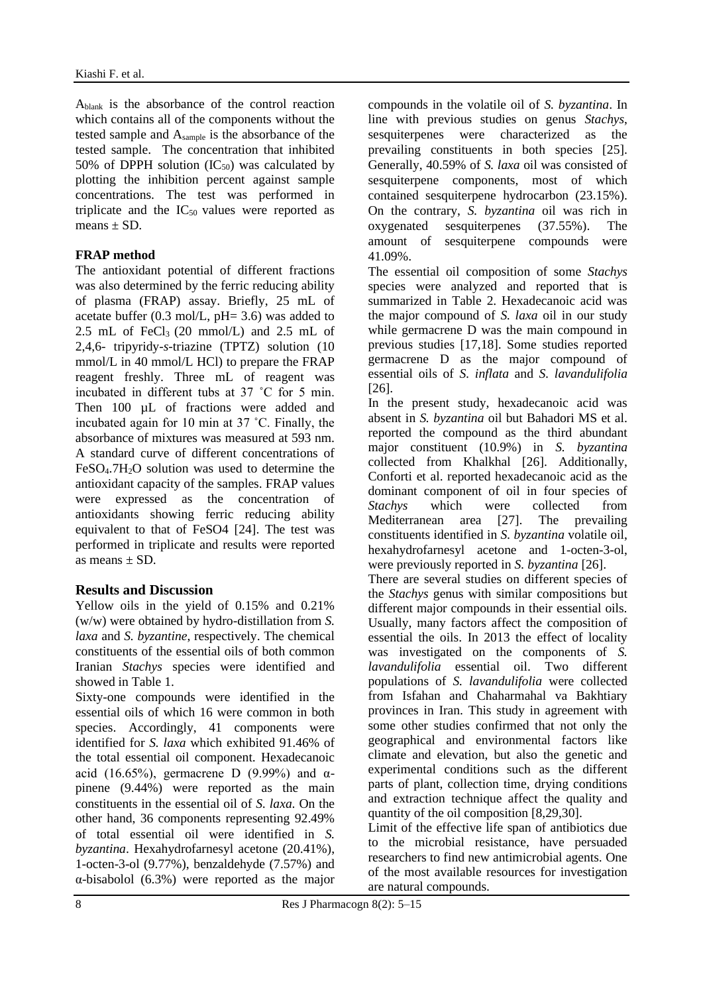Ablank is the absorbance of the control reaction which contains all of the components without the tested sample and Asample is the absorbance of the tested sample. The concentration that inhibited 50% of DPPH solution  $(IC_{50})$  was calculated by plotting the inhibition percent against sample concentrations. The test was performed in triplicate and the  $IC_{50}$  values were reported as means  $\pm$  SD.

# **FRAP method**

The antioxidant potential of different fractions was also determined by the ferric reducing ability of plasma (FRAP) assay. Briefly, 25 mL of acetate buffer  $(0.3 \text{ mol/L}, \text{pH} = 3.6)$  was added to 2.5 mL of FeCl<sub>3</sub> (20 mmol/L) and 2.5 mL of 2,4,6- tripyridy-*s*-triazine (TPTZ) solution (10 mmol/L in 40 mmol/L HCl) to prepare the FRAP reagent freshly. Three mL of reagent was incubated in different tubs at 37 ˚C for 5 min. Then 100 uL of fractions were added and incubated again for 10 min at 37 ˚C. Finally, the absorbance of mixtures was measured at 593 nm. A standard curve of different concentrations of FeSO<sub>4</sub>.7H<sub>2</sub>O solution was used to determine the antioxidant capacity of the samples. FRAP values were expressed as the concentration of antioxidants showing ferric reducing ability equivalent to that of FeSO4 [24]. The test was performed in triplicate and results were reported as means  $\pm$  SD.

# **Results and Discussion**

Yellow oils in the yield of 0.15% and 0.21% (w/w) were obtained by hydro-distillation from *S. laxa* and *S. byzantine*, respectively. The chemical constituents of the essential oils of both common Iranian *Stachys* species were identified and showed in Table 1.

Sixty-one compounds were identified in the essential oils of which 16 were common in both species. Accordingly, 41 components were identified for *S. laxa* which exhibited 91.46% of the total essential oil component. Hexadecanoic acid (16.65%), germacrene D (9.99%) and  $\alpha$ pinene (9.44%) were reported as the main constituents in the essential oil of *S. laxa*. On the other hand, 36 components representing 92.49% of total essential oil were identified in *S. byzantina*. Hexahydrofarnesyl acetone (20.41%), 1-octen-3-ol (9.77%), benzaldehyde (7.57%) and α-bisabolol (6.3%) were reported as the major compounds in the volatile oil of *S. byzantina*. In line with previous studies on genus *Stachys*, sesquiterpenes were characterized as the prevailing constituents in both species [25]. Generally, 40.59% of *S. laxa* oil was consisted of sesquiterpene components, most of which contained sesquiterpene hydrocarbon (23.15%). On the contrary, *S. byzantina* oil was rich in oxygenated sesquiterpenes (37.55%). The amount of sesquiterpene compounds were 41.09%.

The essential oil composition of some *Stachys* species were analyzed and reported that is summarized in Table 2. Hexadecanoic acid was the major compound of *S. laxa* oil in our study while germacrene D was the main compound in previous studies [17,18]. Some studies reported germacrene D as the major compound of essential oils of *S. inflata* and *S. lavandulifolia* [26].

In the present study, hexadecanoic acid was absent in *S. byzantina* oil but Bahadori MS et al. reported the compound as the third abundant major constituent (10.9%) in *S. byzantina* collected from Khalkhal [26]. Additionally, Conforti et al. reported hexadecanoic acid as the dominant component of oil in four species of *Stachys* which were collected from Mediterranean area [27]. The prevailing constituents identified in *S. byzantina* volatile oil, hexahydrofarnesyl acetone and 1-octen-3-ol, were previously reported in *S. byzantina* [26].

There are several studies on different species of the *Stachys* genus with similar compositions but different major compounds in their essential oils. Usually, many factors affect the composition of essential the oils. In 2013 the effect of locality was investigated on the components of *S. lavandulifolia* essential oil. Two different populations of *S. lavandulifolia* were collected from Isfahan and Chaharmahal va Bakhtiary provinces in Iran. This study in agreement with some other studies confirmed that not only the geographical and environmental factors like climate and elevation, but also the genetic and experimental conditions such as the different parts of plant, collection time, drying conditions and extraction technique affect the quality and quantity of the oil composition [8,29,30].

Limit of the effective life span of antibiotics due to the microbial resistance, have persuaded researchers to find new antimicrobial agents. One of the most available resources for investigation are natural compounds.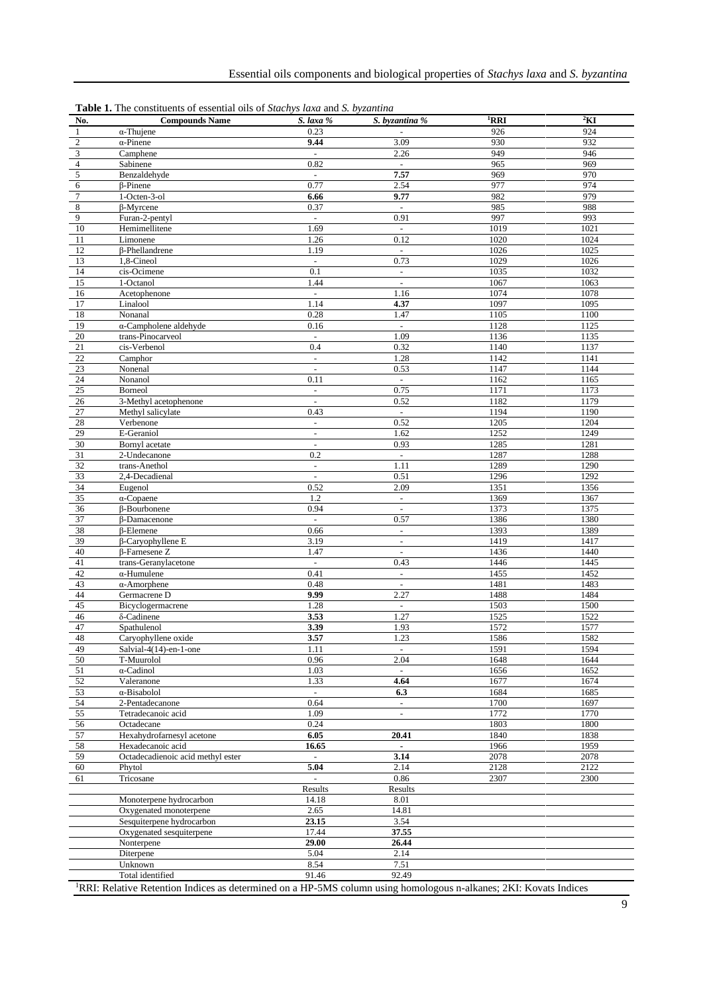| No.                         | <b>Compounds Name</b>             | S. laxa %                | S. byzantina %           | ${}^{1}$ RRI | $\rm{^{2}KI}$ |
|-----------------------------|-----------------------------------|--------------------------|--------------------------|--------------|---------------|
| $\mathbf{1}$                | $\alpha$ -Thujene                 | 0.23                     |                          | 926          | 924           |
| $\sqrt{2}$                  | $\alpha$ -Pinene                  | 9.44                     | 3.09                     | 930          | 932           |
| $\ensuremath{\mathfrak{Z}}$ | Camphene                          | $\bar{\mathcal{L}}$      | 2.26                     | 949          | 946           |
| $\overline{\mathbf{4}}$     | Sabinene                          | 0.82                     | $\overline{\phantom{a}}$ | 965          | 969           |
| 5                           | Benzaldehyde                      | $\blacksquare$           | 7.57                     | 969          | 970           |
| 6                           | $\beta$ -Pinene                   | 0.77                     | 2.54                     | 977          | 974           |
| $\overline{7}$              | 1-Octen-3-ol                      | 6.66                     | 9.77                     | 982          | 979           |
| 8                           | $\beta$ -Myrcene                  | 0.37                     | $\overline{\phantom{a}}$ | 985          | 988           |
| 9                           | Furan-2-pentyl                    | $\Box$                   | 0.91                     | 997          | 993           |
| 10                          | Hemimellitene                     | 1.69                     | $\mathcal{L}$            | 1019         | 1021          |
| 11                          | Limonene                          | 1.26                     | 0.12                     | 1020         | 1024          |
| 12                          | $\beta$ -Phellandrene             | 1.19                     | $\overline{\phantom{a}}$ | 1026         | 1025          |
| 13                          | 1,8-Cineol                        | $\mathbb{L}$             | 0.73                     | 1029         | 1026          |
| 14                          | cis-Ocimene                       | 0.1                      | $\overline{\phantom{a}}$ | 1035         | 1032          |
| 15                          | 1-Octanol                         | 1.44                     | $\overline{\phantom{a}}$ | 1067         | 1063          |
| 16                          | Acetophenone                      | $\overline{\phantom{a}}$ | 1.16                     | 1074         | 1078          |
| 17                          | Linalool                          | 1.14                     | 4.37                     | 1097         | 1095          |
| 18                          | Nonanal                           | 0.28                     | 1.47                     | 1105         | 1100          |
| 19                          | $\alpha$ -Campholene aldehyde     | 0.16                     | $\mathbf{r}$             | 1128         | 1125          |
| 20                          | trans-Pinocarveol                 | $\overline{\phantom{a}}$ | 1.09                     | 1136         | 1135          |
| 21                          | cis-Verbenol                      | 0.4                      | 0.32                     | 1140         | 1137          |
| 22                          | Camphor                           | $\blacksquare$           | 1.28                     | 1142         | 1141          |
| 23                          | Nonenal                           | $\overline{a}$           | 0.53                     | 1147         | 1144          |
| 24                          | Nonanol                           | 0.11                     | $\overline{\phantom{a}}$ | 1162         | 1165          |
| 25                          | Borneol                           | $\blacksquare$           | 0.75                     | 1171         | 1173          |
| 26                          | 3-Methyl acetophenone             | $\overline{a}$           | 0.52                     | 1182         | 1179          |
| 27                          | Methyl salicylate                 | 0.43                     | $\overline{\phantom{a}}$ | 1194         | 1190          |
| 28                          | Verbenone                         | $\blacksquare$           | 0.52                     | 1205         | 1204          |
| 29                          | E-Geraniol                        | $\overline{a}$           | 1.62                     | 1252         | 1249          |
| 30                          | Bornyl acetate                    | $\overline{\phantom{a}}$ | 0.93                     | 1285         | 1281          |
| 31                          | 2-Undecanone                      | 0.2                      | $\blacksquare$           | 1287         | 1288          |
| 32                          | trans-Anethol                     | $\blacksquare$           | 1.11                     | 1289         | 1290          |
| 33                          | 2,4-Decadienal                    | $\overline{\phantom{a}}$ | 0.51                     | 1296         | 1292          |
| 34                          | Eugenol                           | 0.52                     | 2.09                     | 1351         | 1356          |
| 35                          | $\alpha$ -Copaene                 | 1.2                      | $\overline{\phantom{a}}$ | 1369         | 1367          |
| 36                          | β-Bourbonene                      | 0.94                     | $\mathbb{Z}^2$           | 1373         | 1375          |
| 37                          | β-Damacenone                      | $\overline{\phantom{a}}$ | 0.57                     | 1386         | 1380          |
| 38                          | $\beta$ -Elemene                  | 0.66                     | ÷,                       | 1393         | 1389          |
| 39                          | β-Caryophyllene E                 | 3.19                     | $\overline{\phantom{a}}$ | 1419         | 1417          |
| 40                          | β-Farnesene Z                     | 1.47                     | $\sim$                   | 1436         | 1440          |
| 41                          | trans-Geranylacetone              | $\blacksquare$           | 0.43                     | 1446         | 1445          |
| 42                          | $\alpha$ -Humulene                | 0.41                     | $\blacksquare$           | 1455         | 1452          |
| 43                          | $\alpha$ -Amorphene               | 0.48                     | $\blacksquare$           | 1481         | 1483          |
| 44                          | Germacrene D                      | 9.99                     | 2.27                     | 1488         | 1484          |
| 45                          | Bicyclogermacrene                 | 1.28                     | $\overline{\phantom{a}}$ | 1503         | 1500          |
| 46                          | $\delta$ -Cadinene                | 3.53                     | 1.27                     | 1525         | 1522          |
| 47                          | Spathulenol                       | 3.39                     | 1.93                     | 1572         | 1577          |
| 48                          | Caryophyllene oxide               | 3.57                     | 1.23                     | 1586         | 1582          |
| 49                          | Salvial-4(14)-en-1-one            | 1.11                     | $\overline{\phantom{a}}$ | 1591         | 1594          |
| $50\,$                      | T-Muurolol                        | 0.96                     | 2.04                     | 1648         | 1644          |
| 51                          | $\alpha$ -Cadinol                 | 1.03                     |                          | 1656         | 1652          |
| 52                          | Valeranone                        | 1.33                     | 4.64                     | 1677         | 1674          |
| 53                          | α-Bisabolol                       | $\omega$                 | 6.3                      | 1684         | 1685          |
| 54                          | 2-Pentadecanone                   | 0.64                     | $\sim$                   | 1700         | 1697          |
| 55                          | Tetradecanoic acid                | 1.09                     | $\overline{\phantom{a}}$ | 1772         | 1770          |
| 56                          | Octadecane                        | 0.24                     |                          | 1803         | 1800          |
| 57                          | Hexahydrofarnesyl acetone         | 6.05                     | 20.41                    | 1840         | 1838          |
| 58                          | Hexadecanoic acid                 | 16.65                    | $\sim$                   | 1966         | 1959          |
| 59                          | Octadecadienoic acid methyl ester | ÷.                       | 3.14                     | 2078         | 2078          |
| 60                          | Phytol                            | 5.04                     | 2.14                     | 2128         | 2122          |
| 61                          | Tricosane                         | $\overline{a}$           | 0.86                     | 2307         | 2300          |
|                             |                                   | Results                  | Results                  |              |               |
|                             | Monoterpene hydrocarbon           | 14.18                    | 8.01                     |              |               |
|                             | Oxygenated monoterpene            | 2.65                     | 14.81                    |              |               |
|                             | Sesquiterpene hydrocarbon         | 23.15                    | 3.54                     |              |               |
|                             | Oxygenated sesquiterpene          | 17.44                    | 37.55                    |              |               |
|                             | Nonterpene                        | 29.00                    | 26.44                    |              |               |
|                             | Diterpene                         | 5.04                     | 2.14                     |              |               |
|                             | Unknown                           | 8.54                     | 7.51                     |              |               |
|                             | Total identified                  | 91.46                    | 92.49                    |              |               |

**Table 1.** The constituents of essential oils of *Stachys laxa* and *S. byzantina*

RRI: Relative Retention Indices as determined on a HP-5MS column using homologous n-alkanes; 2KI: Kovats Indices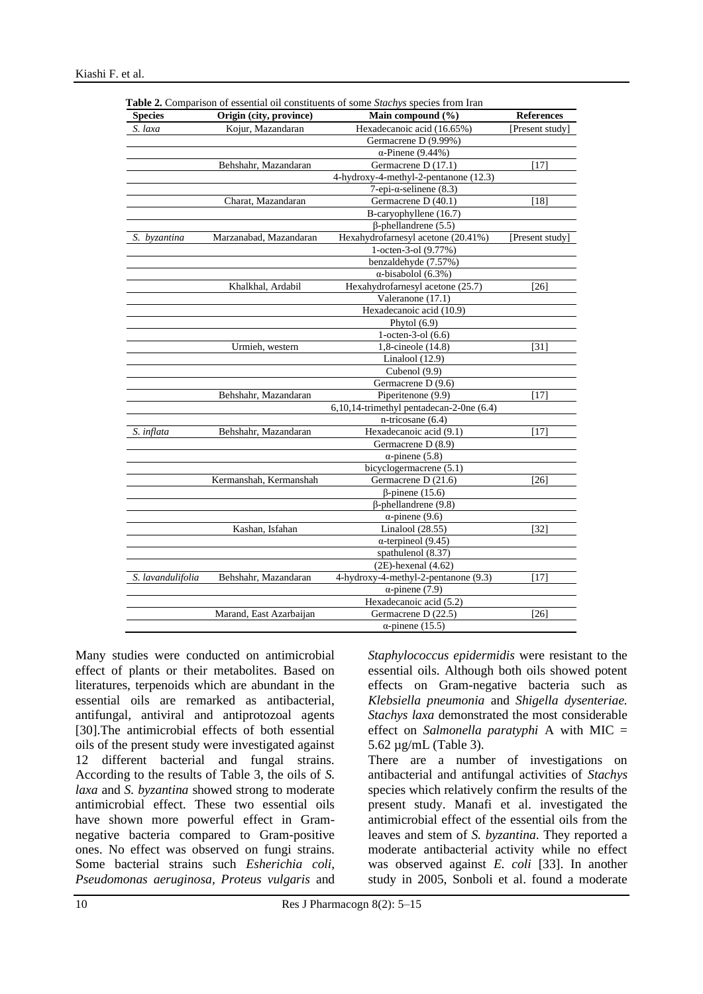| <b>Species</b>    | Origin (city, province)<br>Main compound $(\% )$ |                                          | <b>References</b>          |  |
|-------------------|--------------------------------------------------|------------------------------------------|----------------------------|--|
| S. laxa           | Kojur, Mazandaran                                | Hexadecanoic acid (16.65%)               | [Present study]            |  |
|                   |                                                  | Germacrene D (9.99%)                     |                            |  |
|                   |                                                  | $\alpha$ -Pinene (9.44%)                 |                            |  |
|                   | Behshahr, Mazandaran                             | Germacrene D (17.1)                      | [17]                       |  |
|                   |                                                  | 4-hydroxy-4-methyl-2-pentanone (12.3)    |                            |  |
|                   |                                                  | $7$ -epi- $\alpha$ -selinene (8.3)       |                            |  |
|                   | Charat, Mazandaran                               | Germacrene D (40.1)                      | [18]                       |  |
|                   |                                                  | B-caryophyllene (16.7)                   |                            |  |
|                   |                                                  | $\beta$ -phellandrene (5.5)              |                            |  |
| S. byzantina      | Marzanabad, Mazandaran                           | Hexahydrofarnesyl acetone (20.41%)       | Present study <sup>-</sup> |  |
|                   |                                                  | 1-octen-3-ol (9.77%)                     |                            |  |
|                   |                                                  | benzaldehyde (7.57%)                     |                            |  |
|                   |                                                  | $\alpha$ -bisabolol (6.3%)               |                            |  |
|                   | Khalkhal, Ardabil                                | Hexahydrofarnesyl acetone (25.7)         | [26]                       |  |
|                   |                                                  | Valeranone (17.1)                        |                            |  |
|                   |                                                  | Hexadecanoic acid (10.9)                 |                            |  |
|                   |                                                  | Phytol $(6.9)$                           |                            |  |
|                   |                                                  | 1-octen-3-ol $(6.6)$                     |                            |  |
|                   | Urmieh, western                                  | 1,8-cineole (14.8)                       | [31]                       |  |
|                   |                                                  | Linalool $(12.9)$                        |                            |  |
|                   |                                                  | Cubenol (9.9)                            |                            |  |
|                   |                                                  | Germacrene D (9.6)                       |                            |  |
|                   | Behshahr, Mazandaran                             | Piperitenone (9.9)                       | [17]                       |  |
|                   |                                                  | 6,10,14-trimethyl pentadecan-2-0ne (6.4) |                            |  |
|                   |                                                  | $n\text{-tricosane } (6.4)$              |                            |  |
| S. inflata        | Behshahr, Mazandaran                             | Hexadecanoic acid (9.1)                  | $[17]$                     |  |
|                   |                                                  | Germacrene D (8.9)                       |                            |  |
|                   |                                                  | $\alpha$ -pinene (5.8)                   |                            |  |
|                   |                                                  | bicyclogermacrene (5.1)                  |                            |  |
|                   | Kermanshah, Kermanshah                           | Germacrene D (21.6)                      | [26]                       |  |
|                   |                                                  | $\beta$ -pinene (15.6)                   |                            |  |
|                   |                                                  | $\beta$ -phellandrene (9.8)              |                            |  |
|                   |                                                  | $\alpha$ -pinene (9.6)                   |                            |  |
|                   | Kashan, Isfahan                                  | Linalool (28.55)                         | [32]                       |  |
|                   |                                                  | $\alpha$ -terpineol (9.45)               |                            |  |
|                   |                                                  | spathulenol (8.37)                       |                            |  |
|                   |                                                  | $(2E)$ -hexenal $(4.62)$                 |                            |  |
| S. lavandulifolia | Behshahr, Mazandaran                             | 4-hydroxy-4-methyl-2-pentanone (9.3)     | [17]                       |  |
|                   |                                                  | $\alpha$ -pinene (7.9)                   |                            |  |
|                   |                                                  | Hexadecanoic acid (5.2)                  |                            |  |
|                   | Marand, East Azarbaijan                          | Germacrene D (22.5)                      | [26]                       |  |
|                   |                                                  |                                          |                            |  |
|                   |                                                  | $\alpha$ -pinene (15.5)                  |                            |  |

**Table 2.** Comparison of essential oil constituents of some *Stachys* species from Iran

Many studies were conducted on antimicrobial effect of plants or their metabolites. Based on literatures, terpenoids which are abundant in the essential oils are remarked as antibacterial, antifungal, antiviral and antiprotozoal agents [30].The antimicrobial effects of both essential oils of the present study were investigated against 12 different bacterial and fungal strains. According to the results of Table 3, the oils of *S. laxa* and *S. byzantina* showed strong to moderate antimicrobial effect. These two essential oils have shown more powerful effect in Gramnegative bacteria compared to Gram-positive ones. No effect was observed on fungi strains. Some bacterial strains such *Esherichia coli, Pseudomonas aeruginosa, Proteus vulgaris* and

*Staphylococcus epidermidis* were resistant to the essential oils. Although both oils showed potent effects on Gram-negative bacteria such as *Klebsiella pneumonia* and *Shigella dysenteriae. Stachys laxa* demonstrated the most considerable effect on *Salmonella paratyphi* A with MIC = 5.62 µg/mL (Table 3).

There are a number of investigations on antibacterial and antifungal activities of *Stachys* species which relatively confirm the results of the present study. Manafi et al. investigated the antimicrobial effect of the essential oils from the leaves and stem of *S. byzantina*. They reported a moderate antibacterial activity while no effect was observed against *E. coli* [33]. In another study in 2005, Sonboli et al. found a moderate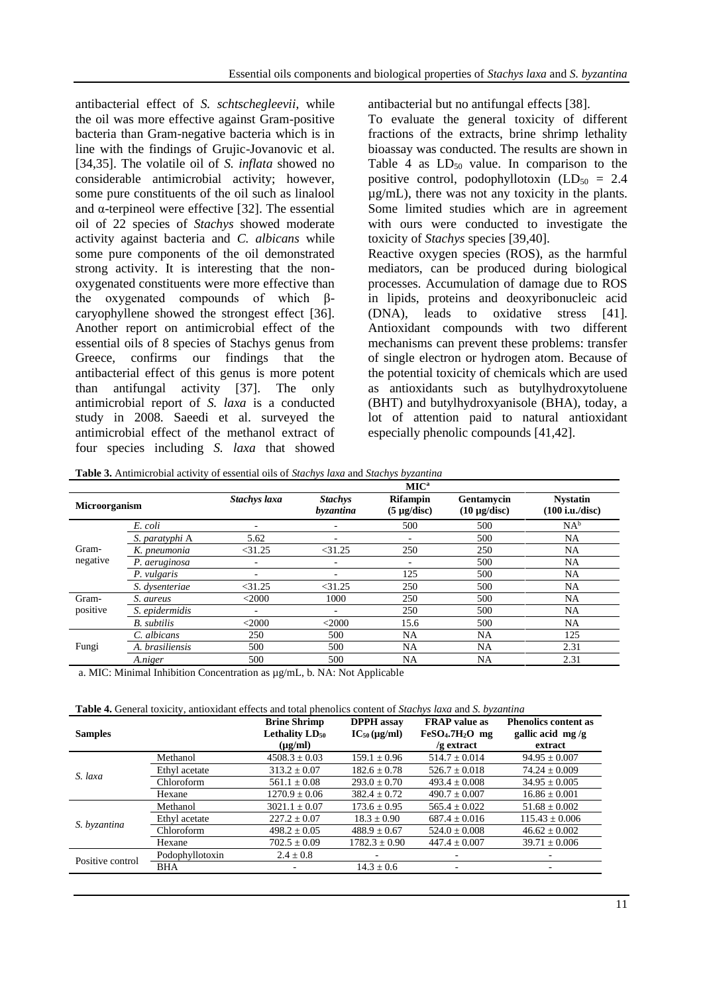antibacterial effect of *S. schtschegleevii*, while the oil was more effective against Gram-positive bacteria than Gram-negative bacteria which is in line with the findings of Grujic-Jovanovic et al. [34,35]. The volatile oil of *S. inflata* showed no considerable antimicrobial activity; however, some pure constituents of the oil such as linalool and  $\alpha$ -terpineol were effective [32]. The essential oil of 22 species of *Stachys* showed moderate activity against bacteria and *C. albicans* while some pure components of the oil demonstrated strong activity. It is interesting that the nonoxygenated constituents were more effective than the oxygenated compounds of which βcaryophyllene showed the strongest effect [36]. Another report on antimicrobial effect of the essential oils of 8 species of Stachys genus from Greece, confirms our findings that the antibacterial effect of this genus is more potent than antifungal activity [37]. The only antimicrobial report of *S. laxa* is a conducted study in 2008. Saeedi et al. surveyed the antimicrobial effect of the methanol extract of four species including *S. laxa* that showed antibacterial but no antifungal effects [38].

To evaluate the general toxicity of different fractions of the extracts, brine shrimp lethality bioassay was conducted. The results are shown in Table 4 as  $LD_{50}$  value. In comparison to the positive control, podophyllotoxin  $(LD_{50} = 2.4$ µg/mL), there was not any toxicity in the plants. Some limited studies which are in agreement with ours were conducted to investigate the toxicity of *Stachys* species [39,40].

Reactive oxygen species (ROS), as the harmful mediators, can be produced during biological processes. Accumulation of damage due to ROS in lipids, proteins and deoxyribonucleic acid (DNA), leads to oxidative stress [41]. Antioxidant compounds with two different mechanisms can prevent these problems: transfer of single electron or hydrogen atom. Because of the potential toxicity of chemicals which are used as antioxidants such as butylhydroxytoluene (BHT) and butylhydroxyanisole (BHA), today, a lot of attention paid to natural antioxidant especially phenolic compounds [41,42].

**Table 3.** Antimicrobial activity of essential oils of *Stachys laxa* and *Stachys byzantina*

|               |                    |                          |                                    | MIC <sup>a</sup>                    |                                 |                                    |
|---------------|--------------------|--------------------------|------------------------------------|-------------------------------------|---------------------------------|------------------------------------|
| Microorganism |                    | Stachys laxa             | <b>Stachys</b><br><i>byzantina</i> | <b>Rifampin</b><br>$(5 \mu g/disc)$ | Gentamycin<br>$(10 \mu g/disc)$ | <b>Nystatin</b><br>(100 i.u./disc) |
|               | E. coli            | ٠                        | -                                  | 500                                 | 500                             | $NA^b$                             |
|               | S. paratyphi A     | 5.62                     | ۰                                  | ٠                                   | 500                             | NA                                 |
| Gram-         | K. pneumonia       | $<$ 31.25                | $<$ 31.25                          | 250                                 | 250                             | NA                                 |
| negative      | P. aeruginosa      | ٠                        | $\overline{\phantom{a}}$           | ٠                                   | 500                             | <b>NA</b>                          |
|               | P. vulgaris        | $\overline{\phantom{0}}$ | ۰                                  | 125                                 | 500                             | <b>NA</b>                          |
|               | S. dysenteriae     | $<$ 31.25                | $<$ 31.25                          | 250                                 | 500                             | <b>NA</b>                          |
| Gram-         | S. aureus          | $<$ 2000                 | 1000                               | 250                                 | 500                             | NA.                                |
| positive      | S. epidermidis     | $\overline{\phantom{a}}$ | ٠                                  | 250                                 | 500                             | <b>NA</b>                          |
|               | <b>B.</b> subtilis | $<$ 2000                 | $<$ 2000                           | 15.6                                | 500                             | <b>NA</b>                          |
| Fungi         | C. albicans        | 250                      | 500                                | <b>NA</b>                           | <b>NA</b>                       | 125                                |
|               | A. brasiliensis    | 500                      | 500                                | NA                                  | <b>NA</b>                       | 2.31                               |
|               | A.niger            | 500                      | 500                                | NA                                  | NA                              | 2.31                               |

a. MIC: Minimal Inhibition Concentration as µg/mL, b. NA: Not Applicable

|--|

|                 | <b>Brine Shrimp</b><br>Lethality $LD_{50}$<br>$(\mu g/ml)$ | <b>DPPH</b> assay<br>$IC_{50}$ (µg/ml) | <b>FRAP</b> value as<br>$FeSO4$ .7H <sub>2</sub> O mg<br>/g extract | <b>Phenolics content as</b><br>gallic acid mg/g<br>extract |
|-----------------|------------------------------------------------------------|----------------------------------------|---------------------------------------------------------------------|------------------------------------------------------------|
| Methanol        | $4508.3 \pm 0.03$                                          | $159.1 \pm 0.96$                       | $514.7 \pm 0.014$                                                   | $94.95 \pm 0.007$                                          |
| Ethyl acetate   | $313.2 \pm 0.07$                                           | $182.6 \pm 0.78$                       | $526.7 \pm 0.018$                                                   | $74.24 \pm 0.009$                                          |
| Chloroform      | $561.1 \pm 0.08$                                           | $293.0 \pm 0.70$                       | $493.4 \pm 0.008$                                                   | $34.95 \pm 0.005$                                          |
| Hexane          | $1270.9 \pm 0.06$                                          | $382.4 \pm 0.72$                       | $490.7 \pm 0.007$                                                   | $16.86 \pm 0.001$                                          |
| Methanol        | $3021.1 \pm 0.07$                                          | $173.6 \pm 0.95$                       | $565.4 \pm 0.022$                                                   | $51.68 \pm 0.002$                                          |
| Ethyl acetate   | $227.2 \pm 0.07$                                           | $18.3 \pm 0.90$                        | $687.4 \pm 0.016$                                                   | $115.43 \pm 0.006$                                         |
| Chloroform      | $498.2 \pm 0.05$                                           | $488.9 \pm 0.67$                       | $524.0 + 0.008$                                                     | $46.62 \pm 0.002$                                          |
| Hexane          | $702.5 \pm 0.09$                                           | $1782.3 \pm 0.90$                      | $447.4 \pm 0.007$                                                   | $39.71 \pm 0.006$                                          |
| Podophyllotoxin | $2.4 \pm 0.8$                                              |                                        |                                                                     |                                                            |
| BHA             |                                                            | $14.3 \pm 0.6$                         | $\overline{\phantom{a}}$                                            |                                                            |
|                 |                                                            |                                        |                                                                     |                                                            |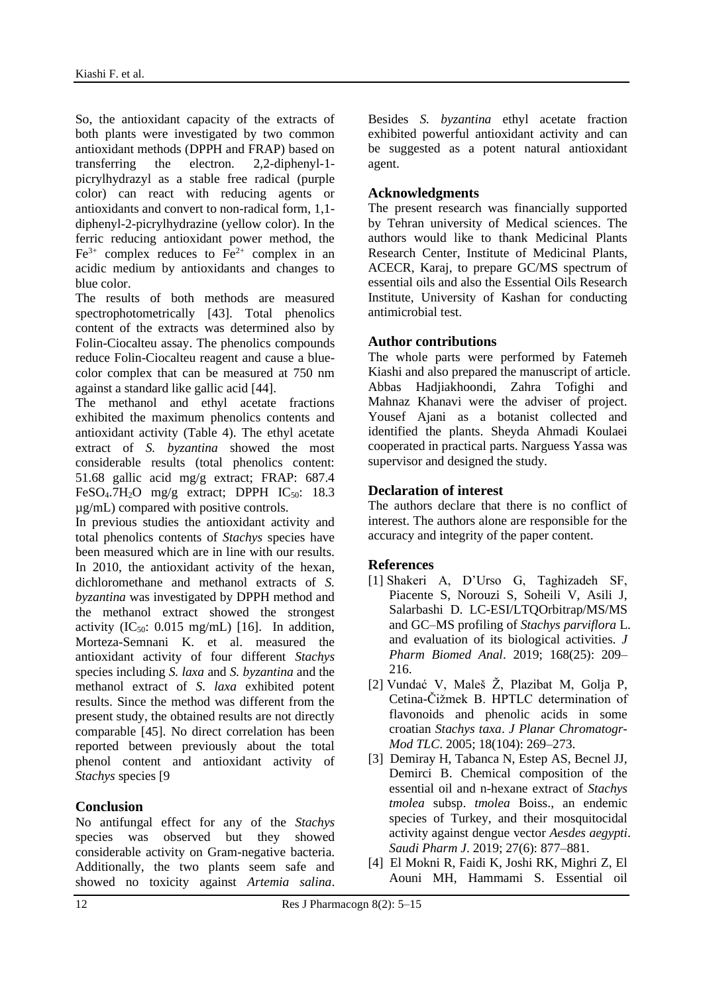So, the antioxidant capacity of the extracts of both plants were investigated by two common antioxidant methods (DPPH and FRAP) based on transferring the electron. 2,2-diphenyl-1 picrylhydrazyl as a stable free radical (purple color) can react with reducing agents or antioxidants and convert to non-radical form, 1,1 diphenyl-2-picrylhydrazine (yellow color). In the ferric reducing antioxidant power method, the  $Fe<sup>3+</sup>$  complex reduces to  $Fe<sup>2+</sup>$  complex in an acidic medium by antioxidants and changes to blue color.

The results of both methods are measured spectrophotometrically [43]. Total phenolics content of the extracts was determined also by Folin-Ciocalteu assay. The phenolics compounds reduce Folin-Ciocalteu reagent and cause a bluecolor complex that can be measured at 750 nm against a standard like gallic acid [44].

The methanol and ethyl acetate fractions exhibited the maximum phenolics contents and antioxidant activity (Table 4). The ethyl acetate extract of *S. byzantina* showed the most considerable results (total phenolics content: 51.68 gallic acid mg/g extract; FRAP: 687.4 FeSO<sub>4</sub>.7H<sub>2</sub>O mg/g extract; DPPH IC<sub>50</sub>: 18.3 µg/mL) compared with positive controls.

In previous studies the antioxidant activity and total phenolics contents of *Stachys* species have been measured which are in line with our results. In 2010, the antioxidant activity of the hexan, dichloromethane and methanol extracts of *S. byzantina* was investigated by DPPH method and the methanol extract showed the strongest activity  $(IC_{50}: 0.015 \text{ mg/mL})$  [16]. In addition, Morteza-Semnani K. et al. measured the antioxidant activity of four different *Stachys* species including *S. laxa* and *S. byzantina* and the methanol extract of *S. laxa* exhibited potent results. Since the method was different from the present study, the obtained results are not directly comparable [45]. No direct correlation has been reported between previously about the total phenol content and antioxidant activity of *Stachys* species [9

# **Conclusion**

No antifungal effect for any of the *Stachys* species was observed but they showed considerable activity on Gram-negative bacteria. Additionally, the two plants seem safe and showed no toxicity against *Artemia salina*. Besides *S. byzantina* ethyl acetate fraction exhibited powerful antioxidant activity and can be suggested as a potent natural antioxidant agent.

# **Acknowledgments**

The present research was financially supported by Tehran university of Medical sciences. The authors would like to thank Medicinal Plants Research Center, Institute of Medicinal Plants, ACECR, Karaj, to prepare GC/MS spectrum of essential oils and also the Essential Oils Research Institute, University of Kashan for conducting antimicrobial test.

## **Author contributions**

The whole parts were performed by Fatemeh Kiashi and also prepared the manuscript of article. Abbas Hadjiakhoondi, Zahra Tofighi and Mahnaz Khanavi were the adviser of project. Yousef Ajani as a botanist collected and identified the plants. Sheyda Ahmadi Koulaei cooperated in practical parts. Narguess Yassa was supervisor and designed the study.

# **Declaration of interest**

The authors declare that there is no conflict of interest. The authors alone are responsible for the accuracy and integrity of the paper content.

# **References**

- [1] Shakeri A, D'Urso G, Taghizadeh SF, Piacente S, Norouzi S, Soheili V, Asili J, Salarbashi D. LC-ESI/LTQOrbitrap/MS/MS and GC–MS profiling of *Stachys parviflora* L. and evaluation of its biological activities. *J Pharm Biomed Anal*. 2019; 168(25): 209– 216.
- [2] Vundać V, Maleš Ž, Plazibat M, Golja P, Cetina-Čižmek B. HPTLC determination of flavonoids and phenolic acids in some croatian *Stachys taxa*. *J Planar Chromatogr-Mod TLC*. 2005; 18(104): 269–273.
- [3] Demiray H, Tabanca N, Estep AS, Becnel JJ, Demirci B. Chemical composition of the essential oil and n-hexane extract of *Stachys tmolea* subsp. *tmolea* Boiss., an endemic species of Turkey, and their mosquitocidal activity against dengue vector *Aesdes aegypti*. *Saudi Pharm J*. 2019; 27(6): 877–881.
- [4] El Mokni R, Faidi K, Joshi RK, Mighri Z, El Aouni MH, Hammami S. Essential oil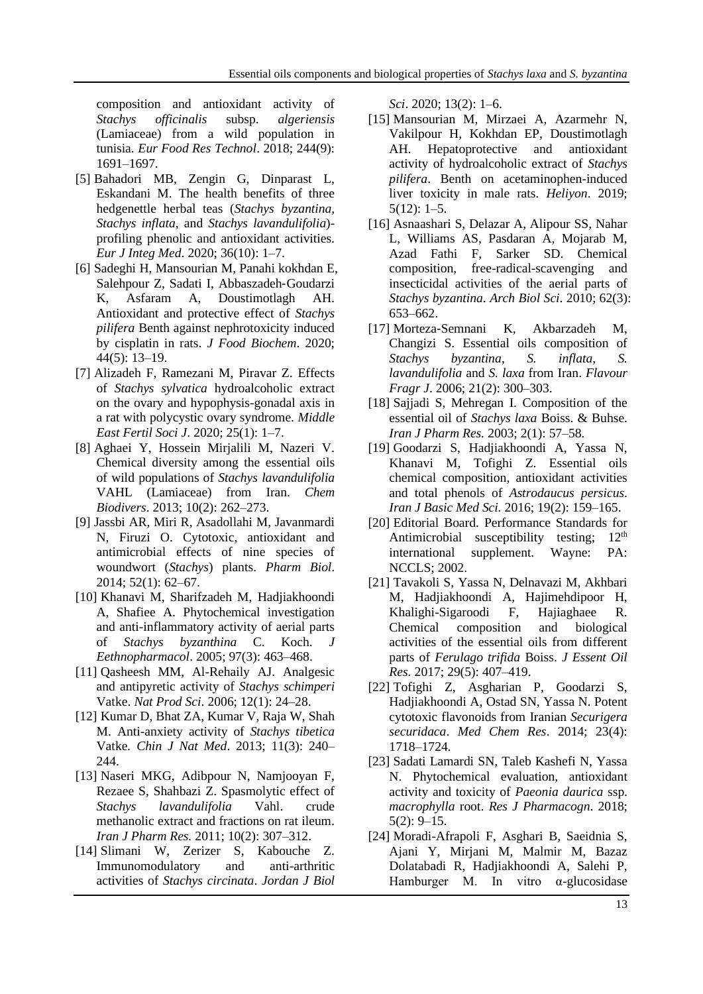composition and antioxidant activity of *Stachys officinalis* subsp. *algeriensis* (Lamiaceae) from a wild population in tunisia. *Eur Food Res Technol*. 2018; 244(9): 1691–1697.

- [5] Bahadori MB, Zengin G, Dinparast L, Eskandani M. The health benefits of three hedgenettle herbal teas (*Stachys byzantina*, *Stachys inflata*, and *Stachys lavandulifolia*) profiling phenolic and antioxidant activities. *Eur J Integ Med*. 2020; 36(10): 1–7.
- [6] Sadeghi H, Mansourian M, Panahi kokhdan E, Salehpour Z, Sadati I, Abbaszadeh‐Goudarzi K, Asfaram A, Doustimotlagh AH. Antioxidant and protective effect of *Stachys pilifera* Benth against nephrotoxicity induced by cisplatin in rats. *J Food Biochem*. 2020; 44(5): 13–19.
- [7] Alizadeh F, Ramezani M, Piravar Z. Effects of *Stachys sylvatica* hydroalcoholic extract on the ovary and hypophysis-gonadal axis in a rat with polycystic ovary syndrome. *Middle East Fertil Soci J*. 2020; 25(1): 1–7.
- [8] Aghaei Y, Hossein Mirjalili M, Nazeri V. Chemical diversity among the essential oils of wild populations of *Stachys lavandulifolia* VAHL (Lamiaceae) from Iran. *Chem Biodivers*. 2013; 10(2): 262–273.
- [9] Jassbi AR, Miri R, Asadollahi M, Javanmardi N, Firuzi O. Cytotoxic, antioxidant and antimicrobial effects of nine species of woundwort (*Stachys*) plants. *Pharm Biol*. 2014; 52(1): 62–67.
- [10] Khanavi M, Sharifzadeh M, Hadjiakhoondi A, Shafiee A. Phytochemical investigation and anti-inflammatory activity of aerial parts of *Stachys byzanthina* C. Koch. *J Eethnopharmacol*. 2005; 97(3): 463–468.
- [11] Qasheesh MM, Al-Rehaily AJ. Analgesic and antipyretic activity of *Stachys schimperi* Vatke. *Nat Prod Sci*. 2006; 12(1): 24–28.
- [12] Kumar D, Bhat ZA, Kumar V, Raja W, Shah M. Anti-anxiety activity of *Stachys tibetica* Vatke*. Chin J Nat Med*. 2013; 11(3): 240– 244.
- [13] Naseri MKG, Adibpour N, Namjooyan F, Rezaee S, Shahbazi Z. Spasmolytic effect of *Stachys lavandulifolia* Vahl. crude methanolic extract and fractions on rat ileum. *Iran J Pharm Res.* 2011; 10(2): 307–312.
- [14] Slimani W, Zerizer S, Kabouche Z. Immunomodulatory and anti-arthritic activities of *Stachys circinata*. *Jordan J Biol*

*Sci*. 2020; 13(2): 1–6.

- [15] Mansourian M, Mirzaei A, Azarmehr N, Vakilpour H, Kokhdan EP, Doustimotlagh AH. Hepatoprotective and antioxidant activity of hydroalcoholic extract of *Stachys pilifera*. Benth on acetaminophen-induced liver toxicity in male rats. *Heliyon*. 2019; 5(12): 1–5.
- [16] Asnaashari S, Delazar A, Alipour SS, Nahar L, Williams AS, Pasdaran A, Mojarab M, Azad Fathi F, Sarker SD. Chemical composition, free-radical-scavenging and insecticidal activities of the aerial parts of *Stachys byzantina*. *Arch Biol Sci*. 2010; 62(3): 653–662.
- [17] Morteza‐Semnani K, Akbarzadeh M, Changizi S. Essential oils composition of *Stachys byzantina*, *S. inflata*, *S. lavandulifolia* and *S. laxa* from Iran. *Flavour Fragr J*. 2006; 21(2): 300–303.
- [18] Sajjadi S, Mehregan I. Composition of the essential oil of *Stachys laxa* Boiss. & Buhse. *Iran J Pharm Res.* 2003; 2(1): 57–58*.*
- [19] Goodarzi S, Hadjiakhoondi A, Yassa N, Khanavi M, Tofighi Z. Essential oils chemical composition, antioxidant activities and total phenols of *Astrodaucus persicus*. *Iran J Basic Med Sci.* 2016; 19(2): 159–165.
- [20] Editorial Board. Performance Standards for Antimicrobial susceptibility testing;  $12<sup>th</sup>$ international supplement. Wayne: PA: NCCLS; 2002.
- [21] Tavakoli S, Yassa N, Delnavazi M, Akhbari M, Hadjiakhoondi A, Hajimehdipoor H, Khalighi-Sigaroodi F, Hajiaghaee R. Chemical composition and biological activities of the essential oils from different parts of *Ferulago trifida* Boiss. *J Essent Oil Res.* 2017; 29(5): 407–419.
- [22] Tofighi Z, Asgharian P, Goodarzi S, Hadjiakhoondi A, Ostad SN, Yassa N. Potent cytotoxic flavonoids from Iranian *Securigera securidaca*. *Med Chem Res*. 2014; 23(4): 1718–1724.
- [23] Sadati Lamardi SN, Taleb Kashefi N, Yassa N. Phytochemical evaluation, antioxidant activity and toxicity of *Paeonia daurica* ssp. *macrophylla* root. *Res J Pharmacogn*. 2018;  $5(2): 9-15.$
- [24] Moradi-Afrapoli F, Asghari B, Saeidnia S, Ajani Y, Mirjani M, Malmir M, Bazaz Dolatabadi R, Hadjiakhoondi A, Salehi P, Hamburger M. In vitro  $\alpha$ -glucosidase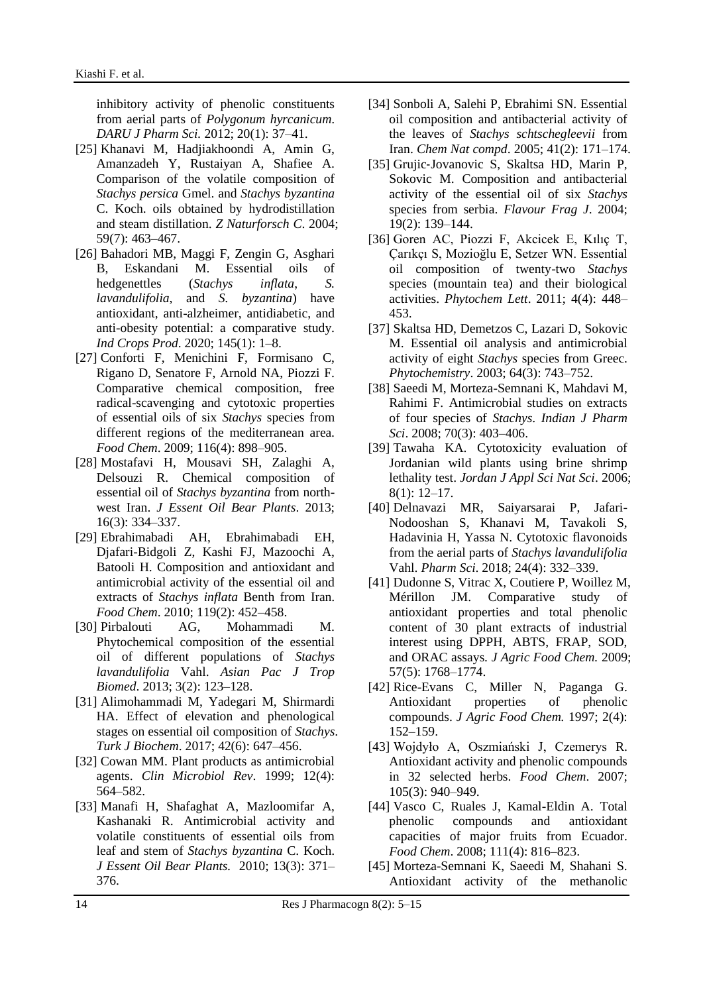inhibitory activity of phenolic constituents from aerial parts of *Polygonum hyrcanicum*. *DARU J Pharm Sci.* 2012; 20(1): 37–41.

- [25] Khanavi M, Hadjiakhoondi A, Amin G, Amanzadeh Y, Rustaiyan A, Shafiee A. Comparison of the volatile composition of *Stachys persica* Gmel. and *Stachys byzantina* C. Koch. oils obtained by hydrodistillation and steam distillation. *Z Naturforsch C*. 2004; 59(7): 463–467.
- [26] Bahadori MB, Maggi F, Zengin G, Asghari B, Eskandani M. Essential oils of hedgenettles (*Stachys inflata*, *S. lavandulifolia*, and *S. byzantina*) have antioxidant, anti-alzheimer, antidiabetic, and anti-obesity potential: a comparative study. *Ind Crops Prod*. 2020; 145(1): 1–8.
- [27] Conforti F, Menichini F, Formisano C, Rigano D, Senatore F, Arnold NA, Piozzi F. Comparative chemical composition, free radical-scavenging and cytotoxic properties of essential oils of six *Stachys* species from different regions of the mediterranean area. *Food Chem*. 2009; 116(4): 898–905.
- [28] Mostafavi H, Mousavi SH, Zalaghi A, Delsouzi R. Chemical composition of essential oil of *Stachys byzantina* from northwest Iran. *J Essent Oil Bear Plants*. 2013; 16(3): 334–337.
- [29] Ebrahimabadi AH, Ebrahimabadi EH, Djafari-Bidgoli Z, Kashi FJ, Mazoochi A, Batooli H. Composition and antioxidant and antimicrobial activity of the essential oil and extracts of *Stachys inflata* Benth from Iran. *Food Chem*. 2010; 119(2): 452–458.
- [30] Pirbalouti AG, Mohammadi M. Phytochemical composition of the essential oil of different populations of *Stachys lavandulifolia* Vahl. *Asian Pac J Trop Biomed*. 2013; 3(2): 123–128.
- [31] Alimohammadi M, Yadegari M, Shirmardi HA. Effect of elevation and phenological stages on essential oil composition of *Stachys*. *Turk J Biochem*. 2017; 42(6): 647–456.
- [32] Cowan MM. Plant products as antimicrobial agents. *Clin Microbiol Rev*. 1999; 12(4): 564–582.
- [33] Manafi H, Shafaghat A, Mazloomifar A, Kashanaki R. Antimicrobial activity and volatile constituents of essential oils from leaf and stem of *Stachys byzantina* C. Koch. *J Essent Oil Bear Plants.* 2010; 13(3): 371– 376.
- [34] Sonboli A, Salehi P, Ebrahimi SN. Essential oil composition and antibacterial activity of the leaves of *Stachys schtschegleevii* from Iran. *Chem Nat compd*. 2005; 41(2): 171–174.
- [35] Grujic‐Jovanovic S, Skaltsa HD, Marin P, Sokovic M. Composition and antibacterial activity of the essential oil of six *Stachys* species from serbia. *Flavour Frag J*. 2004; 19(2): 139–144.
- [36] Goren AC, Piozzi F, Akcicek E, Kılıç T, Çarıkçı S, Mozioğlu E, Setzer WN. Essential oil composition of twenty-two *Stachys* species (mountain tea) and their biological activities. *Phytochem Lett*. 2011; 4(4): 448– 453.
- [37] Skaltsa HD, Demetzos C, Lazari D, Sokovic M. Essential oil analysis and antimicrobial activity of eight *Stachys* species from Greec. *Phytochemistry*. 2003; 64(3): 743–752.
- [38] Saeedi M, Morteza-Semnani K, Mahdavi M, Rahimi F. Antimicrobial studies on extracts of four species of *Stachys*. *Indian J Pharm Sci*. 2008; 70(3): 403–406.
- [39] Tawaha KA. Cytotoxicity evaluation of Jordanian wild plants using brine shrimp lethality test. *Jordan J Appl Sci Nat Sci*. 2006; 8(1): 12–17.
- [40] Delnavazi MR, Saiyarsarai P, Jafari-Nodooshan S, Khanavi M, Tavakoli S, Hadavinia H, Yassa N. Cytotoxic flavonoids from the aerial parts of *Stachys lavandulifolia* Vahl. *Pharm Sci*. 2018; 24(4): 332–339.
- [41] Dudonne S, Vitrac X, Coutiere P, Woillez M, Mérillon JM. Comparative study of antioxidant properties and total phenolic content of 30 plant extracts of industrial interest using DPPH, ABTS, FRAP, SOD, and ORAC assays. *J Agric Food Chem.* 2009; 57(5): 1768–1774.
- [42] Rice-Evans C, Miller N, Paganga G. Antioxidant properties of phenolic compounds. *J Agric Food Chem.* 1997; 2(4): 152–159.
- [43] Wojdyło A, Oszmiański J, Czemerys R. Antioxidant activity and phenolic compounds in 32 selected herbs. *Food Chem*. 2007; 105(3): 940–949.
- [44] Vasco C, Ruales J, Kamal-Eldin A. Total phenolic compounds and antioxidant capacities of major fruits from Ecuador. *Food Chem*. 2008; 111(4): 816–823.
- [45] Morteza-Semnani K, Saeedi M, Shahani S. Antioxidant activity of the methanolic